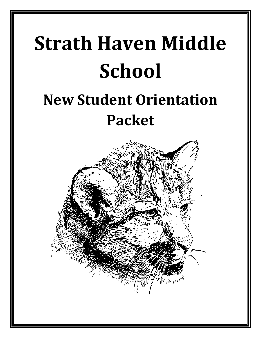# **Strath Haven Middle School**

# **New Student Orientation Packet**

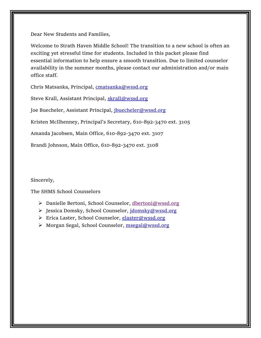Dear New Students and Families,

Welcome to Strath Haven Middle School! The transition to a new school is often an exciting yet stressful time for students. Included in this packet please find essential information to help ensure a smooth transition. Due to limited counselor availability in the summer months, please contact our administration and/or main office staff.

Chris Matsanka, Principal, [cmatsanka@wssd.org](mailto:cmatsanka@wssd.org)

Steve Krall, Assistant Principal, [skrall@wssd.org](mailto:skrall@wssd.org)

Joe Buecheler, Assistant Principal, [jbuecheler@wssd.org](mailto:jbuecheler@wssd.org)

Kristen McIlhenney, Principal's Secretary, 610-892-3470 ext. 3105

Amanda Jacobsen, Main Office, 610-892-3470 ext. 3107

Brandi Johnson, Main Office, 610-892-3470 ext. 3108

Sincerely,

The SHMS School Counselors

- ▶ Danielle Bertoni, School Counselor, [dbertoni@wssd.org](mailto:dbertoni@wssd.org%252)
- Jessica Domsky, School Counselor, [jdomsky@wssd.org](mailto:jdomsky@wssd.org)
- ▶ Erica Laster, School Counselor, [elaster@wssd.org](mailto:elaster@wssd.org)
- > Morgan Segal, School Counselor, [msegal@wssd.org](mailto:msegal@wssd.org)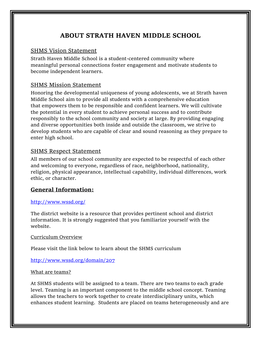## **ABOUT STRATH HAVEN MIDDLE SCHOOL**

#### SHMS Vision Statement

Strath Haven Middle School is a student-centered community where meaningful personal connections foster engagement and motivate students to become independent learners.

#### SHMS Mission Statement

Honoring the developmental uniqueness of young adolescents, we at Strath haven Middle School aim to provide all students with a comprehensive education that empowers them to be responsible and confident learners. We will cultivate the potential in every student to achieve personal success and to contribute responsibly to the school community and society at large. By providing engaging and diverse opportunities both inside and outside the classroom, we strive to develop students who are capable of clear and sound reasoning as they prepare to enter high school.

#### SHMS Respect Statement

All members of our school community are expected to be respectful of each other and welcoming to everyone, regardless of race, neighborhood, nationality, religion, physical appearance, intellectual capability, individual differences, work ethic, or character.

#### **General Information:**

#### <http://www.wssd.org/>

The district website is a resource that provides pertinent school and district information. It is strongly suggested that you familiarize yourself with the website.

#### Curriculum Overview

Please visit the link below to learn about the SHMS curriculum

#### <http://www.wssd.org/domain/207>

#### What are teams?

At SHMS students will be assigned to a team. There are two teams to each grade level. Teaming is an important component to the middle school concept. Teaming allows the teachers to work together to create interdisciplinary units, which enhances student learning. Students are placed on teams heterogeneously and are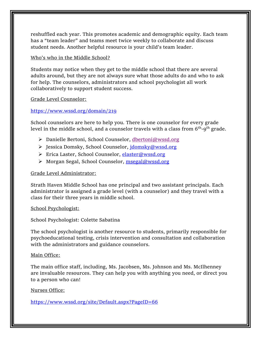reshuffled each year. This promotes academic and demographic equity. Each team has a "team leader" and teams meet twice weekly to collaborate and discuss student needs. Another helpful resource is your child's team leader.

#### Who's who in the Middle School?

Students may notice when they get to the middle school that there are several adults around, but they are not always sure what those adults do and who to ask for help. The counselors, administrators and school psychologist all work collaboratively to support student success.

#### Grade Level Counselor:

#### <https://www.wssd.org/domain/219>

School counselors are here to help you. There is one counselor for every grade level in the middle school, and a counselor travels with a class from  $6^{\rm th}$ -9 $^{\rm th}$  grade.

- Danielle Bertoni, School Counselor, [dbertoni@wssd.org](mailto:dbertoni@wssd.org%252)
- > Jessica Domsky, School Counselor, [jdomsky@wssd.org](mailto:jdomsky@wssd.org)
- ▶ Erica Laster, School Counselor, [elaster@wssd.org](mailto:elaster@wssd.org)
- ▶ Morgan Segal, School Counselor, [msegal@wssd.org](mailto:msegal@wssd.org)

#### Grade Level Administrator:

Strath Haven Middle School has one principal and two assistant principals. Each administrator is assigned a grade level (with a counselor) and they travel with a class for their three years in middle school.

#### School Psychologist:

School Psychologist: Colette Sabatina

The school psychologist is another resource to students, primarily responsible for psychoeducational testing, crisis intervention and consultation and collaboration with the administrators and guidance counselors.

#### Main Office:

The main office staff, including, Ms. Jacobsen, Ms. Johnson and Ms. McIlhenney are invaluable resources. They can help you with anything you need, or direct you to a person who can!

#### Nurses Office:

<https://www.wssd.org/site/Default.aspx?PageID=66>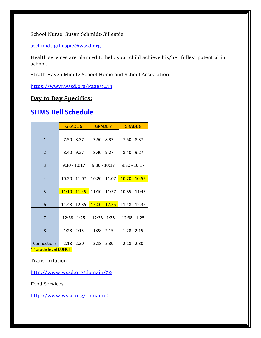School Nurse: Susan Schmidt-Gillespie

[sschmidt-gillespie@wssd.org](file:///C:/Users/elaster/Downloads/sschmidt-gillespie@wssd.org)

Health services are planned to help your child achieve his/her fullest potential in school.

Strath Haven Middle School Home and School Association:

<https://www.wssd.org/Page/1413>

#### **Day to Day Specifics:**

## **SHMS Bell Schedule**

|                                           | <b>GRADE 6</b> | <b>GRADE 7</b>                               | <b>GRADE 8</b>                  |
|-------------------------------------------|----------------|----------------------------------------------|---------------------------------|
| $\mathbf{1}$                              |                | $7:50 - 8:37$ $7:50 - 8:37$ $7:50 - 8:37$    |                                 |
| $\overline{2}$                            |                | $8:40 - 9:27$ $8:40 - 9:27$ $8:40 - 9:27$    |                                 |
| 3                                         |                | $9:30 - 10:17$ $9:30 - 10:17$ $9:30 - 10:17$ |                                 |
| $\overline{4}$                            | 10:20 - 11:07  |                                              | $10:20 - 11:07$ $10:20 - 10:55$ |
| 5                                         |                | $11:10 - 11:45$ 11:10 - 11:57 10:55 - 11:45  |                                 |
| 6                                         | 11:48 - 12:35  | $12:00 - 12:35$                              | 11:48 - 12:35                   |
| $\overline{7}$                            |                | $12:38 - 1:25$ $12:38 - 1:25$                | $12:38 - 1:25$                  |
| 8                                         | $1:28 - 2:15$  | $1:28 - 2:15$ $1:28 - 2:15$                  |                                 |
| <b>Connections</b><br>**Grade level LUNCH | 2:18 - 2:30    | $2:18 - 2:30$                                | $2:18 - 2:30$                   |

**Transportation** 

<http://www.wssd.org/domain/29>

Food Services

<http://www.wssd.org/domain/21>